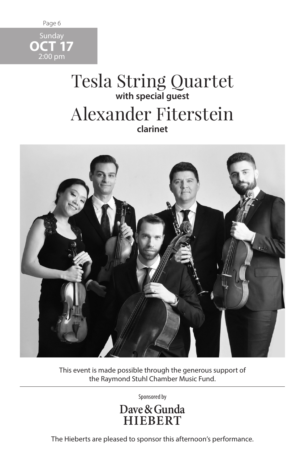

**OCT 17** 2:00 pm

## Tesla String Quartet **with special guest**  Alexander Fiterstein **clarinet**



This event is made possible through the generous support of the Raymond Stuhl Chamber Music Fund.

Sponsored by

**Dave & Gunda HIEBERT**

The Hieberts are pleased to sponsor this afternoon's performance.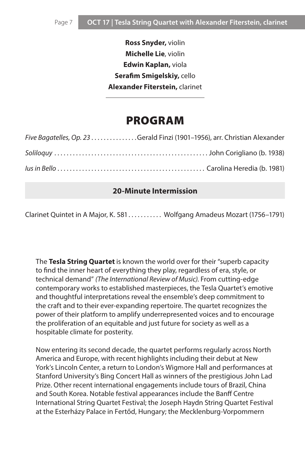**Ross Snyder,** violin **Michelle Lie**, violin **Edwin Kaplan,** viola **Serafim Smigelskiy,** cello **Alexander Fiterstein,** clarinet

## PROGRAM

| Five Bagatelles, Op. 23 Gerald Finzi (1901-1956), arr. Christian Alexander |
|----------------------------------------------------------------------------|
|                                                                            |
|                                                                            |

## **20-Minute Intermission**

Clarinet Quintet in A Major, K. 581 . . . . . . . . . . Wolfgang Amadeus Mozart (1756–1791)

The **Tesla String Quartet** is known the world over for their "superb capacity to find the inner heart of everything they play, regardless of era, style, or technical demand" *(The International Review of Music)*. From cutting-edge contemporary works to established masterpieces, the Tesla Quartet's emotive and thoughtful interpretations reveal the ensemble's deep commitment to the craft and to their ever-expanding repertoire. The quartet recognizes the power of their platform to amplify underrepresented voices and to encourage the proliferation of an equitable and just future for society as well as a hospitable climate for posterity.

Now entering its second decade, the quartet performs regularly across North America and Europe, with recent highlights including their debut at New York's Lincoln Center, a return to London's Wigmore Hall and performances at Stanford University's Bing Concert Hall as winners of the prestigious John Lad Prize. Other recent international engagements include tours of Brazil, China and South Korea. Notable festival appearances include the Banff Centre International String Quartet Festival; the Joseph Haydn String Quartet Festival at the Esterházy Palace in Fertőd, Hungary; the Mecklenburg-Vorpommern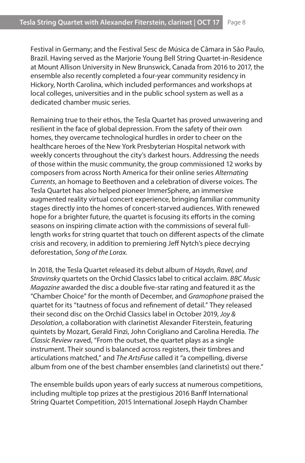Festival in Germany; and the Festival Sesc de Música de Câmara in São Paulo, Brazil. Having served as the Marjorie Young Bell String Quartet-in-Residence at Mount Allison University in New Brunswick, Canada from 2016 to 2017, the ensemble also recently completed a four-year community residency in Hickory, North Carolina, which included performances and workshops at local colleges, universities and in the public school system as well as a dedicated chamber music series.

Remaining true to their ethos, the Tesla Quartet has proved unwavering and resilient in the face of global depression. From the safety of their own homes, they overcame technological hurdles in order to cheer on the healthcare heroes of the New York Presbyterian Hospital network with weekly concerts throughout the city's darkest hours. Addressing the needs of those within the music community, the group commissioned 12 works by composers from across North America for their online series *Alternating Currents*, an homage to Beethoven and a celebration of diverse voices. The Tesla Quartet has also helped pioneer ImmerSphere, an immersive augmented reality virtual concert experience, bringing familiar community stages directly into the homes of concert-starved audiences. With renewed hope for a brighter future, the quartet is focusing its efforts in the coming seasons on inspiring climate action with the commissions of several fulllength works for string quartet that touch on different aspects of the climate crisis and recovery, in addition to premiering Jeff Nytch's piece decrying deforestation, *Song of the Lorax.*

In 2018, the Tesla Quartet released its debut album of *Haydn, Ravel, and Stravinsky* quartets on the Orchid Classics label to critical acclaim. *BBC Music Magazine* awarded the disc a double five-star rating and featured it as the "Chamber Choice" for the month of December, and *Gramophone* praised the quartet for its "tautness of focus and refinement of detail." They released their second disc on the Orchid Classics label in October 2019, *Joy & Desolation*, a collaboration with clarinetist Alexander Fiterstein, featuring quintets by Mozart, Gerald Finzi, John Corigliano and Carolina Heredia. *The Classic Review* raved, "From the outset, the quartet plays as a single instrument. Their sound is balanced across registers, their timbres and articulations matched," and *The ArtsFuse* called it "a compelling, diverse album from one of the best chamber ensembles (and clarinetists) out there."

The ensemble builds upon years of early success at numerous competitions, including multiple top prizes at the prestigious 2016 Banff International String Quartet Competition, 2015 International Joseph Haydn Chamber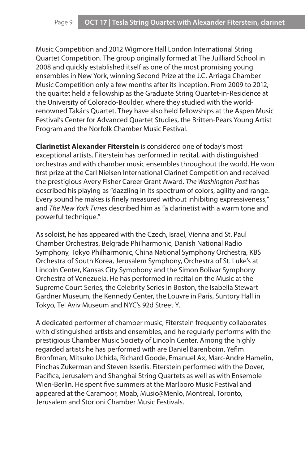Music Competition and 2012 Wigmore Hall London International String Quartet Competition. The group originally formed at The Juilliard School in 2008 and quickly established itself as one of the most promising young ensembles in New York, winning Second Prize at the J.C. Arriaga Chamber Music Competition only a few months after its inception. From 2009 to 2012, the quartet held a fellowship as the Graduate String Quartet-in-Residence at the University of Colorado-Boulder, where they studied with the worldrenowned Takács Quartet. They have also held fellowships at the Aspen Music Festival's Center for Advanced Quartet Studies, the Britten-Pears Young Artist Program and the Norfolk Chamber Music Festival.

**Clarinetist Alexander Fiterstein** is considered one of today's most exceptional artists. Fiterstein has performed in recital, with distinguished orchestras and with chamber music ensembles throughout the world. He won first prize at the Carl Nielsen International Clarinet Competition and received the prestigious Avery Fisher Career Grant Award. *The Washington Post* has described his playing as "dazzling in its spectrum of colors, agility and range. Every sound he makes is finely measured without inhibiting expressiveness," and *The New York Times* described him as "a clarinetist with a warm tone and powerful technique."

As soloist, he has appeared with the Czech, Israel, Vienna and St. Paul Chamber Orchestras, Belgrade Philharmonic, Danish National Radio Symphony, Tokyo Philharmonic, China National Symphony Orchestra, KBS Orchestra of South Korea, Jerusalem Symphony, Orchestra of St. Luke's at Lincoln Center, Kansas City Symphony and the Simon Bolivar Symphony Orchestra of Venezuela. He has performed in recital on the Music at the Supreme Court Series, the Celebrity Series in Boston, the Isabella Stewart Gardner Museum, the Kennedy Center, the Louvre in Paris, Suntory Hall in Tokyo, Tel Aviv Museum and NYC's 92d Street Y.

A dedicated performer of chamber music, Fiterstein frequently collaborates with distinguished artists and ensembles, and he regularly performs with the prestigious Chamber Music Society of Lincoln Center. Among the highly regarded artists he has performed with are Daniel Barenboim, Yefim Bronfman, Mitsuko Uchida, Richard Goode, Emanuel Ax, Marc-Andre Hamelin, Pinchas Zukerman and Steven Isserlis. Fiterstein performed with the Dover, Pacifica, Jerusalem and Shanghai String Quartets as well as with Ensemble Wien-Berlin. He spent five summers at the Marlboro Music Festival and appeared at the Caramoor, Moab, Music@Menlo, Montreal, Toronto, Jerusalem and Storioni Chamber Music Festivals.